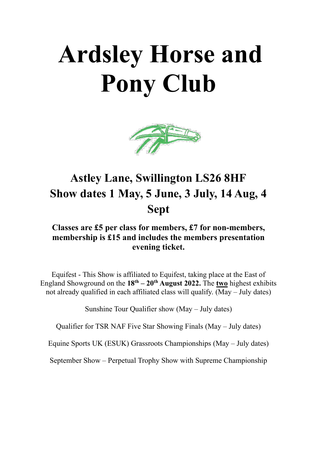# **Ardsley Horse and Pony Club**



## **Astley Lane, Swillington LS26 8HF Show dates 1 May, 5 June, 3 July, 14 Aug, 4 Sept**

## **Classes are £5 per class for members, £7 for non-members, membership is £15 and includes the members presentation evening ticket.**

Equifest - This Show is affiliated to Equifest, taking place at the East of England Showground on the  $18^{th} - 20^{th}$  **August 2022.** The two highest exhibits not already qualified in each affiliated class will qualify.  $\overline{(May - July dates)}$ 

Sunshine Tour Qualifier show (May – July dates)

Qualifier for TSR NAF Five Star Showing Finals (May – July dates)

Equine Sports UK (ESUK) Grassroots Championships (May – July dates)

September Show – Perpetual Trophy Show with Supreme Championship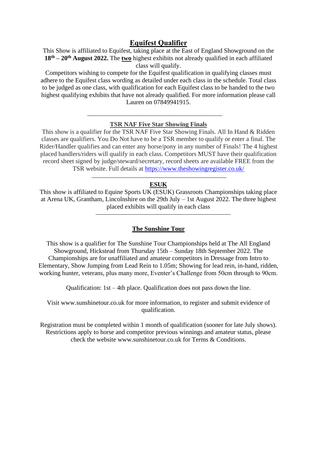#### **Equifest Qualifier**

This Show is affiliated to Equifest, taking place at the East of England Showground on the **18th – 20th August 2022.** The **two** highest exhibits not already qualified in each affiliated class will qualify.

Competitors wishing to compete for the Equifest qualification in qualifying classes must adhere to the Equifest class wording as detailed under each class in the schedule. Total class to be judged as one class, with qualification for each Equifest class to be handed to the two highest qualifying exhibits that have not already qualified. For more information please call Lauren on 07849941915.

#### **TSR NAF Five Star Showing Finals**

This show is a qualifier for the TSR NAF Five Star Showing Finals. All In Hand & Ridden classes are qualifiers. You Do Not have to be a TSR member to qualify or enter a final. The Rider/Handler qualifies and can enter any horse/pony in any number of Finals! The 4 highest placed handlers/riders will qualify in each class. Competitors MUST have their qualification record sheet signed by judge/steward/secretary, record sheets are available FREE from the TSR website. Full details at<https://www.theshowingregister.co.uk/>

#### **ESUK**

This show is affiliated to Equine Sports UK (ESUK) Grassroots Championships taking place at Arena UK, Grantham, Lincolnshire on the 29th July – 1st August 2022. The three highest placed exhibits will qualify in each class

#### **The Sunshine Tour**

This show is a qualifier for The Sunshine Tour Championships held at The All England Showground, Hickstead from Thursday 15th – Sunday 18th September 2022. The Championships are for unaffiliated and amateur competitors in Dressage from Intro to Elementary, Show Jumping from Lead Rein to 1.05m; Showing for lead rein, in-hand, ridden, working hunter, veterans, plus many more, Eventer's Challenge from 50cm through to 90cm.

Qualification: 1st – 4th place. Qualification does not pass down the line.

Visit www.sunshinetour.co.uk for more information, to register and submit evidence of qualification.

Registration must be completed within 1 month of qualification (sooner for late July shows). Restrictions apply to horse and competitor previous winnings and amateur status, please check the website www.sunshinetour.co.uk for Terms & Conditions.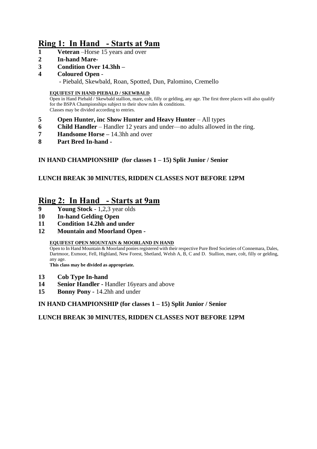## **Ring 1: In Hand - Starts at 9am**

- **1 Veteran** –Horse 15 years and over
- **2 In-hand Mare-**
- **3 Condition Over 14.3hh –**
- **4 Coloured Open** -

- Piebald, Skewbald, Roan, Spotted, Dun, Palomino, Cremello

#### **EQUIFEST IN HAND PIEBALD / SKEWBALD**

Open in Hand Piebald / Skewbald stallion, mare, colt, filly or gelding, any age. The first three places will also qualify for the BSPA Championships subject to their show rules & conditions. Classes may be divided according to entries.

- **5 Open Hunter, inc Show Hunter and Heavy Hunter** All types
- **6 Child Handler** Handler 12 years and under—no adults allowed in the ring.
- **7 Handsome Horse –** 14.3hh and over
- **8 Part Bred In-hand -**

#### **IN HAND CHAMPIONSHIP (for classes 1 – 15) Split Junior / Senior**

#### **LUNCH BREAK 30 MINUTES, RIDDEN CLASSES NOT BEFORE 12PM**

### **Ring 2: In Hand - Starts at 9am**

- **9 Young Stock** 1,2,3 year olds
- **10 In-hand Gelding Open**
- **11 Condition 14.2hh and under**
- **12 Mountain and Moorland Open -**

#### **EQUIFEST OPEN MOUNTAIN & MOORLAND IN HAND**

Open to In Hand Mountain & Moorland ponies registered with their respective Pure Bred Societies of Connemara, Dales, Dartmoor, Exmoor, Fell, Highland, New Forest, Shetland, Welsh A, B, C and D. Stallion, mare, colt, filly or gelding, any age.

**This class may be divided as appropriate.**

- **13 Cob Type In-hand**
- **14 Senior Handler -** Handler 16years and above
- **15 Bonny Pony** *-* 14.2hh and under

**IN HAND CHAMPIONSHIP (for classes 1 – 15) Split Junior / Senior**

#### **LUNCH BREAK 30 MINUTES, RIDDEN CLASSES NOT BEFORE 12PM**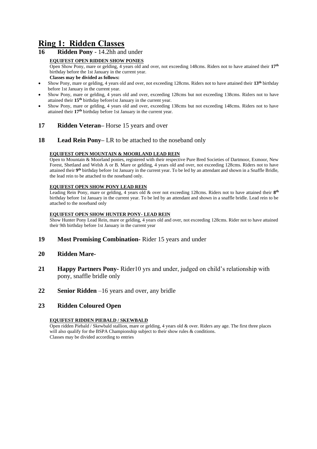## **Ring 1: Ridden Classes**

**16 Ridden Pony** - 14.2hh and under

#### **EQUIFEST OPEN RIDDEN SHOW PONIES**

Open Show Pony, mare or gelding, 4 years old and over, not exceeding 148cms. Riders not to have attained their **17th** birthday before the 1st January in the current year. **Classes may be divided as follows:**

- Show Pony, mare or gelding, 4 years old and over, not exceeding 128cms. Riders not to have attained their **13th** birthday before 1st January in the current year.
- Show Pony, mare or gelding, 4 years old and over, exceeding 128cms but not exceeding 138cms. Riders not to have attained their **15th** birthday before1st January in the current year.
- Show Pony, mare or gelding, 4 years old and over, exceeding 138cms but not exceeding 148cms. Riders not to have attained their **17th** birthday before 1st January in the current year.

#### **17 Ridden Veteran***–* Horse 15 years and over

#### **18 Lead Rein Pony–** LR to be attached to the noseband only

#### **EQUIFEST OPEN MOUNTAIN & MOORLAND LEAD REIN**

Open to Mountain & Moorland ponies, registered with their respective Pure Bred Societies of Dartmoor, Exmoor, New Forest, Shetland and Welsh A or B. Mare or gelding, 4 years old and over, not exceeding 128cms. Riders not to have attained their 9<sup>th</sup> birthday before 1st January in the current year. To be led by an attendant and shown in a Snaffle Bridle, the lead rein to be attached to the noseband only.

#### **EQUIFEST OPEN SHOW PONY LEAD REIN**

Leading Rein Pony, mare or gelding, 4 years old & over not exceeding 128cms. Riders not to have attained their  $8^{th}$ birthday before 1st January in the current year. To be led by an attendant and shown in a snaffle bridle. Lead rein to be attached to the noseband only

#### **EQUIFEST OPEN SHOW HUNTER PONY- LEAD REIN**

Show Hunter Pony Lead Rein, mare or gelding, 4 years old and over, not exceeding 128cms. Rider not to have attained their 9th birthday before 1st January in the current year

- **19 Most Promising Combination-** Rider 15 years and under
- **20 Ridden Mare-**
- **21 Happy Partners Pony-** Rider10 yrs and under, judged on child's relationship with pony, snaffle bridle only
- **22 Senior Ridden** –16 years and over, any bridle

#### **23 Ridden Coloured Open**

#### **EQUIFEST RIDDEN PIEBALD / SKEWBALD**

Open ridden Piebald / Skewbald stallion, mare or gelding, 4 years old & over. Riders any age. The first three places will also qualify for the BSPA Championship subject to their show rules & conditions. Classes may be divided according to entries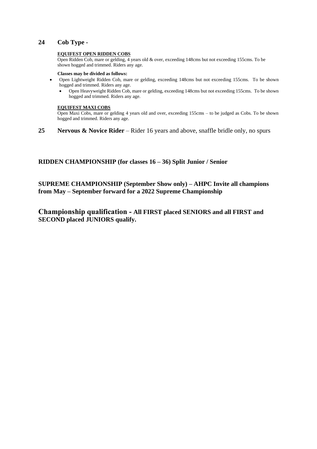#### **24 Cob Type -**

#### **EQUIFEST OPEN RIDDEN COBS**

Open Ridden Cob, mare or gelding, 4 years old & over, exceeding 148cms but not exceeding 155cms. To be shown hogged and trimmed. Riders any age.

#### **Classes may be divided as follows:**

- Open Lightweight Ridden Cob, mare or gelding, exceeding 148cms but not exceeding 155cms. To be shown hogged and trimmed. Riders any age.
	- Open Heavyweight Ridden Cob, mare or gelding, exceeding 148cms but not exceeding 155cms. To be shown hogged and trimmed. Riders any age.

#### **EQUIFEST MAXI COBS**

Open Maxi Cobs, mare or gelding 4 years old and over, exceeding 155cms – to be judged as Cobs. To be shown hogged and trimmed. Riders any age.

**25 Nervous & Novice Rider** – Rider 16 years and above, snaffle bridle only, no spurs

#### **RIDDEN CHAMPIONSHIP (for classes 16 – 36) Split Junior / Senior**

**SUPREME CHAMPIONSHIP (September Show only) – AHPC Invite all champions from May – September forward for a 2022 Supreme Championship**

**Championship qualification - All FIRST placed SENIORS and all FIRST and SECOND placed JUNIORS qualify.**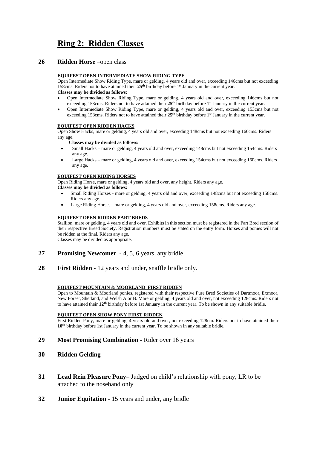## **Ring 2: Ridden Classes**

#### **26 Ridden Horse** –open class

#### **EQUIFEST OPEN INTERMEDIATE SHOW RIDING TYPE**

Open Intermediate Show Riding Type, mare or gelding, 4 years old and over, exceeding 146cms but not exceeding 158cms. Riders not to have attained their 25<sup>th</sup> birthday before 1<sup>st</sup> January in the current year.

- **Classes may be divided as follows:**
- Open Intermediate Show Riding Type, mare or gelding, 4 years old and over, exceeding 146cms but not exceeding 153cms. Riders not to have attained their **25th** birthday before 1st January in the current year.
- Open Intermediate Show Riding Type, mare or gelding, 4 years old and over, exceeding 153cms but not exceeding 158cms. Riders not to have attained their **25th** birthday before 1st January in the current year.

#### **EQUIFEST OPEN RIDDEN HACKS**

Open Show Hacks, mare or gelding, 4 years old and over, exceeding 148cms but not exceeding 160cms. Riders any age.

#### **Classes may be divided as follows:**

- Small Hacks mare or gelding, 4 years old and over, exceeding 148cms but not exceeding 154cms. Riders any age.
- Large Hacks mare or gelding, 4 years old and over, exceeding 154cms but not exceeding 160cms. Riders any age.

#### **EQUIFEST OPEN RIDING HORSES**

Open Riding Horse, mare or gelding, 4 years old and over, any height. Riders any age.

#### **Classes may be divided as follows:**

- Small Riding Horses mare or gelding, 4 years old and over, exceeding 148cms but not exceeding 158cms. Riders any age.
- Large Riding Horses mare or gelding, 4 years old and over, exceeding 158cms. Riders any age.

#### **EQUIFEST OPEN RIDDEN PART BREDS**

Stallion, mare or gelding, 4 years old and over. Exhibits in this section must be registered in the Part Bred section of their respective Breed Society. Registration numbers must be stated on the entry form. Horses and ponies will not be ridden at the final. Riders any age.

Classes may be divided as appropriate.

- **27 Promising Newcomer** 4, 5, 6 years, any bridle
- **28 First Ridden** 12 years and under, snaffle bridle only.

#### **EQUIFEST MOUNTAIN & MOORLAND FIRST RIDDEN**

Open to Mountain & Moorland ponies, registered with their respective Pure Bred Societies of Dartmoor, Exmoor, New Forest, Shetland, and Welsh A or B. Mare or gelding, 4 years old and over, not exceeding 128cms. Riders not to have attained their **12th** birthday before 1st January in the current year. To be shown in any suitable bridle.

#### **EQUIFEST OPEN SHOW PONY FIRST RIDDEN**

First Ridden Pony, mare or gelding, 4 years old and over, not exceeding 128cm. Riders not to have attained their **10th** birthday before 1st January in the current year. To be shown in any suitable bridle.

- **29 Most Promising Combination -** Rider over 16 years
- **30 Ridden Gelding-**
- **31 Lead Rein Pleasure Pony–** Judged on child's relationship with pony, LR to be attached to the noseband only
- **32 Junior Equitation** 15 years and under, any bridle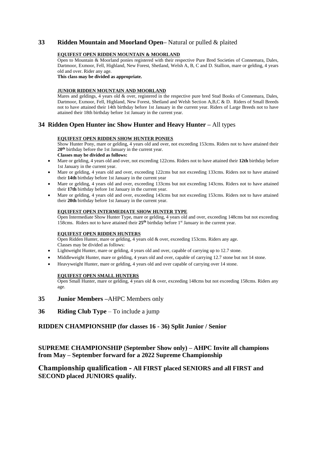#### **33 Ridden Mountain and Moorland Open–** Natural or pulled & plaited

#### **EQUIFEST OPEN RIDDEN MOUNTAIN & MOORLAND**

Open to Mountain & Moorland ponies registered with their respective Pure Bred Societies of Connemara, Dales, Dartmoor, Exmoor, Fell, Highland, New Forest, Shetland, Welsh A, B, C and D. Stallion, mare or gelding, 4 years old and over. Rider any age.

**This class may be divided as appropriate.**

#### **JUNIOR RIDDEN MOUNTAIN AND MOORLAND**

Mares and geldings, 4 years old & over, registered in the respective pure bred Stud Books of Connemara, Dales, Dartmoor, Exmoor, Fell, Highland, New Forest, Shetland and Welsh Section A,B,C & D. Riders of Small Breeds not to have attained their 14th birthday before 1st January in the current year. Riders of Large Breeds not to have attained their 18th birthday before 1st January in the current year.

#### **34 Ridden Open Hunter inc Show Hunter and Heavy Hunter –** All types

#### **EQUIFEST OPEN RIDDEN SHOW HUNTER PONIES**

Show Hunter Pony, mare or gelding, 4 years old and over, not exceeding 153cms. Riders not to have attained their **20th** birthday before the 1st January in the current year.

- **Classes may be divided as follows:**
- Mare or gelding, 4 years old and over, not exceeding 122cms. Riders not to have attained their **12th** birthday before 1st January in the current year.
- Mare or gelding, 4 years old and over, exceeding 122cms but not exceeding 133cms. Riders not to have attained their **14th** birthday before 1st January in the current year
- Mare or gelding, 4 years old and over, exceeding 133cms but not exceeding 143cms. Riders not to have attained their **17th** birthday before 1st January in the current year.
- Mare or gelding, 4 years old and over, exceeding 143cms but not exceeding 153cms. Riders not to have attained their **20th** birthday before 1st January in the current year.

#### **EQUIFEST OPEN INTERMEDIATE SHOW HUNTER TYPE**

Open Intermediate Show Hunter Type, mare or gelding, 4 years old and over, exceeding 148cms but not exceeding 158cms. Riders not to have attained their **25th** birthday before 1st January in the current year.

#### **EQUIFEST OPEN RIDDEN HUNTERS**

Open Ridden Hunter, mare or gelding, 4 years old & over, exceeding 153cms. Riders any age. Classes may be divided as follows:

- Lightweight Hunter, mare or gelding, 4 years old and over, capable of carrying up to 12.7 stone.
- Middleweight Hunter, mare or gelding, 4 years old and over, capable of carrying 12.7 stone but not 14 stone.
- Heavyweight Hunter, mare or gelding, 4 years old and over capable of carrying over 14 stone.

#### **EQUIFEST OPEN SMALL HUNTERS**

Open Small Hunter, mare or gelding, 4 years old & over, exceeding 148cms but not exceeding 158cms. Riders any age.

- **35 Junior Members –**AHPC Members only
- **36 Riding Club Type** To include a jump

**RIDDEN CHAMPIONSHIP (for classes 16 - 36) Split Junior / Senior** 

#### **SUPREME CHAMPIONSHIP (September Show only) – AHPC Invite all champions from May – September forward for a 2022 Supreme Championship**

#### **Championship qualification - All FIRST placed SENIORS and all FIRST and SECOND placed JUNIORS qualify.**